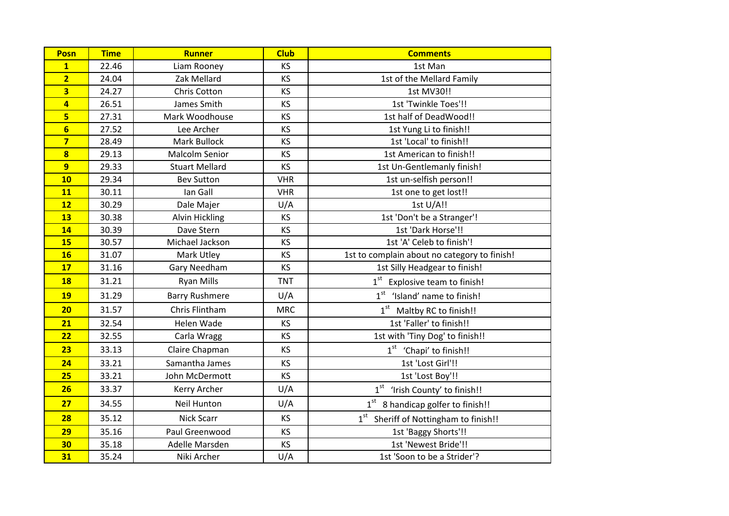| <b>Posn</b>             | <b>Time</b> | <b>Runner</b>         | <b>Club</b> | <b>Comments</b>                              |
|-------------------------|-------------|-----------------------|-------------|----------------------------------------------|
| $\overline{1}$          | 22.46       | Liam Rooney           | KS          | 1st Man                                      |
| $\overline{2}$          | 24.04       | Zak Mellard           | KS          | 1st of the Mellard Family                    |
| $\overline{\mathbf{3}}$ | 24.27       | Chris Cotton          | KS          | 1st MV30!!                                   |
| $\overline{4}$          | 26.51       | James Smith           | KS          | 1st 'Twinkle Toes'!!                         |
| $\overline{\mathbf{5}}$ | 27.31       | Mark Woodhouse        | KS          | 1st half of DeadWood!!                       |
| $6\overline{}$          | 27.52       | Lee Archer            | KS          | 1st Yung Li to finish!!                      |
| $\overline{\mathbf{z}}$ | 28.49       | Mark Bullock          | KS          | 1st 'Local' to finish!!                      |
| $\overline{\mathbf{8}}$ | 29.13       | <b>Malcolm Senior</b> | KS          | 1st American to finish!!                     |
| $\overline{9}$          | 29.33       | <b>Stuart Mellard</b> | KS          | 1st Un-Gentlemanly finish!                   |
| 10                      | 29.34       | <b>Bev Sutton</b>     | <b>VHR</b>  | 1st un-selfish person!!                      |
| 11                      | 30.11       | lan Gall              | <b>VHR</b>  | 1st one to get lost!!                        |
| 12                      | 30.29       | Dale Majer            | U/A         | 1st U/A!!                                    |
| 13                      | 30.38       | Alvin Hickling        | KS          | 1st 'Don't be a Stranger'!                   |
| 14                      | 30.39       | Dave Stern            | KS          | 1st 'Dark Horse'!!                           |
| <b>15</b>               | 30.57       | Michael Jackson       | KS          | 1st 'A' Celeb to finish'!                    |
| <b>16</b>               | 31.07       | Mark Utley            | KS          | 1st to complain about no category to finish! |
| 17                      | 31.16       | Gary Needham          | KS          | 1st Silly Headgear to finish!                |
| <b>18</b>               | 31.21       | <b>Ryan Mills</b>     | <b>TNT</b>  | $1st$ Explosive team to finish!              |
| <b>19</b>               | 31.29       | <b>Barry Rushmere</b> | U/A         | 1 <sup>st</sup> 'Island' name to finish!     |
| 20                      | 31.57       | Chris Flintham        | <b>MRC</b>  | $1^{\text{st}}$<br>Maltby RC to finish!!     |
| 21                      | 32.54       | <b>Helen Wade</b>     | KS          | 1st 'Faller' to finish!!                     |
| 22                      | 32.55       | Carla Wragg           | KS          | 1st with 'Tiny Dog' to finish!!              |
| 23                      | 33.13       | Claire Chapman        | KS          | $1st$ 'Chapi' to finish!!                    |
| 24                      | 33.21       | Samantha James        | KS          | 1st 'Lost Girl'!!                            |
| 25                      | 33.21       | John McDermott        | KS          | 1st 'Lost Boy'!!                             |
| 26                      | 33.37       | Kerry Archer          | U/A         | 1 <sup>st</sup> 'Irish County' to finish!!   |
| 27                      | 34.55       | Neil Hunton           | U/A         | 8 handicap golfer to finish!!                |
| 28                      | 35.12       | <b>Nick Scarr</b>     | KS          | 1st Sheriff of Nottingham to finish!!        |
| 29                      | 35.16       | Paul Greenwood        | KS          | 1st 'Baggy Shorts'!!                         |
| 30                      | 35.18       | Adelle Marsden        | KS          | 1st 'Newest Bride'!!                         |
| 31                      | 35.24       | Niki Archer           | U/A         | 1st 'Soon to be a Strider'?                  |